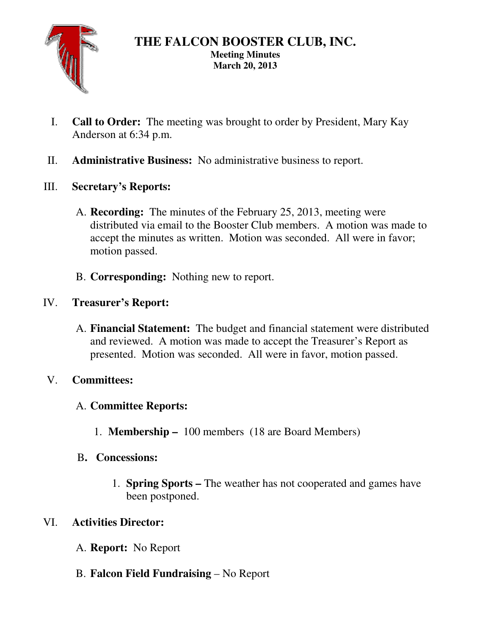

## **THE FALCON BOOSTER CLUB, INC. Meeting Minutes March 20, 2013**

- I. **Call to Order:** The meeting was brought to order by President, Mary Kay Anderson at 6:34 p.m.
- II. **Administrative Business:** No administrative business to report.
- III. **Secretary's Reports:** 
	- A. **Recording:** The minutes of the February 25, 2013, meeting were distributed via email to the Booster Club members. A motion was made to accept the minutes as written. Motion was seconded. All were in favor; motion passed.
	- B. **Corresponding:** Nothing new to report.

# IV. **Treasurer's Report:**

A. **Financial Statement:** The budget and financial statement were distributed and reviewed. A motion was made to accept the Treasurer's Report as presented. Motion was seconded. All were in favor, motion passed.

# V. **Committees:**

# A. **Committee Reports:**

1. **Membership –** 100 members (18 are Board Members)

## B**. Concessions:**

1. **Spring Sports –** The weather has not cooperated and games have been postponed.

# VI. **Activities Director:**

- A. **Report:** No Report
- B. **Falcon Field Fundraising** No Report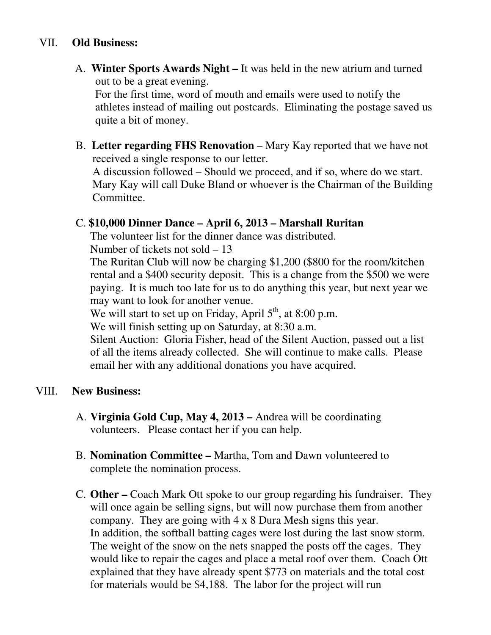#### VII. **Old Business:**

 A. **Winter Sports Awards Night –** It was held in the new atrium and turned out to be a great evening.

 For the first time, word of mouth and emails were used to notify the athletes instead of mailing out postcards. Eliminating the postage saved us quite a bit of money.

B. **Letter regarding FHS Renovation** – Mary Kay reported that we have not received a single response to our letter.

 A discussion followed – Should we proceed, and if so, where do we start. Mary Kay will call Duke Bland or whoever is the Chairman of the Building Committee.

#### C. **\$10,000 Dinner Dance – April 6, 2013 – Marshall Ruritan**

The volunteer list for the dinner dance was distributed.

Number of tickets not sold – 13

The Ruritan Club will now be charging \$1,200 (\$800 for the room/kitchen rental and a \$400 security deposit. This is a change from the \$500 we were paying. It is much too late for us to do anything this year, but next year we may want to look for another venue.

We will start to set up on Friday, April  $5<sup>th</sup>$ , at 8:00 p.m.

We will finish setting up on Saturday, at 8:30 a.m.

Silent Auction: Gloria Fisher, head of the Silent Auction, passed out a list of all the items already collected. She will continue to make calls. Please email her with any additional donations you have acquired.

## VIII. **New Business:**

- A. **Virginia Gold Cup, May 4, 2013** Andrea will be coordinating volunteers. Please contact her if you can help.
- B. **Nomination Committee –** Martha, Tom and Dawn volunteered to complete the nomination process.
- C. **Other** Coach Mark Ott spoke to our group regarding his fundraiser. They will once again be selling signs, but will now purchase them from another company. They are going with 4 x 8 Dura Mesh signs this year. In addition, the softball batting cages were lost during the last snow storm. The weight of the snow on the nets snapped the posts off the cages. They would like to repair the cages and place a metal roof over them. Coach Ott explained that they have already spent \$773 on materials and the total cost for materials would be \$4,188. The labor for the project will run